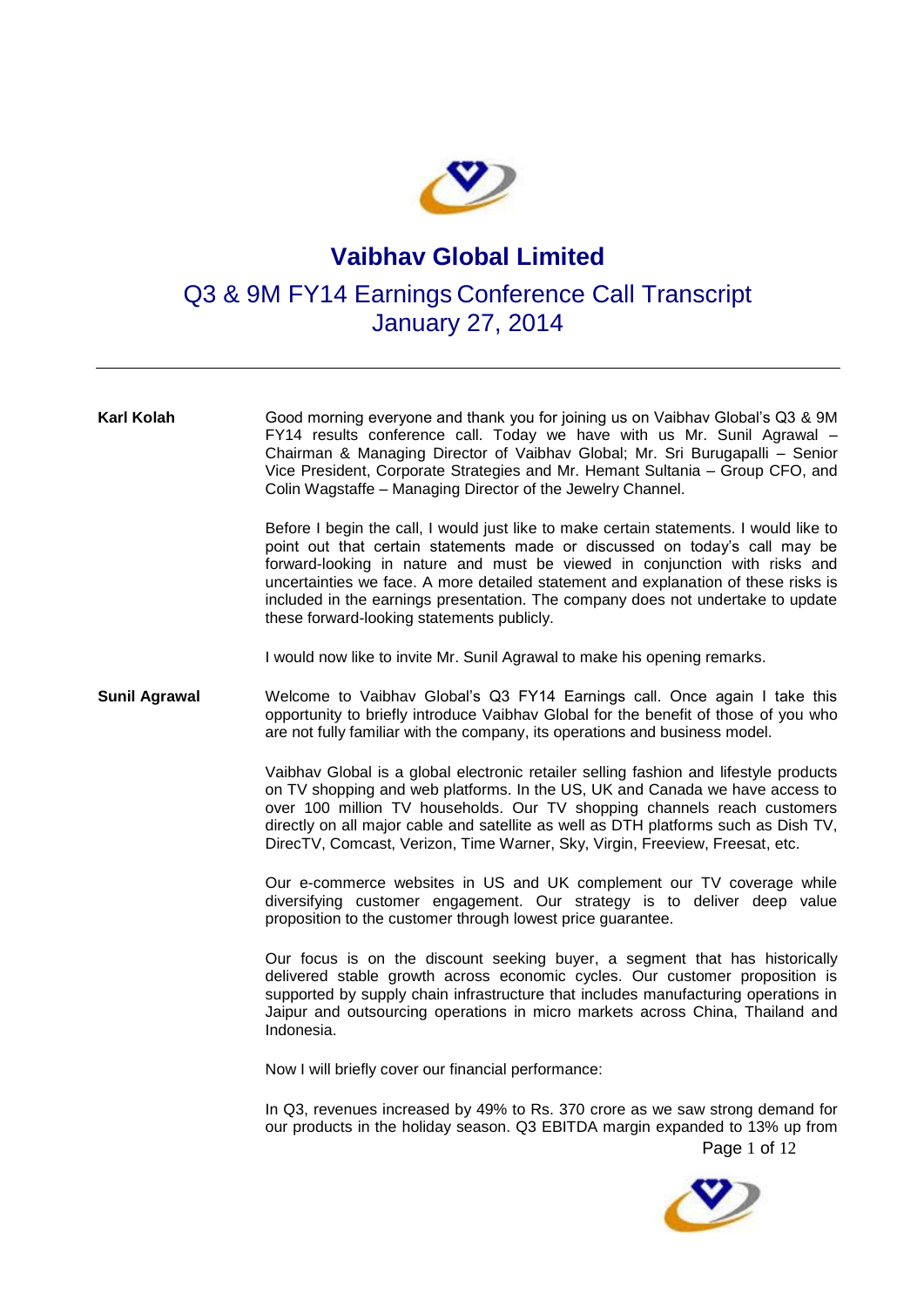

## **Vaibhav Global Limited**

## Q3 & 9M FY14 Earnings Conference Call Transcript January 27, 2014

| Karl Kolah           | Good morning everyone and thank you for joining us on Vaibhav Global's Q3 & 9M<br>FY14 results conference call. Today we have with us Mr. Sunil Agrawal -<br>Chairman & Managing Director of Vaibhav Global; Mr. Sri Burugapalli - Senior<br>Vice President, Corporate Strategies and Mr. Hemant Sultania - Group CFO, and<br>Colin Wagstaffe - Managing Director of the Jewelry Channel.                                                                                 |
|----------------------|---------------------------------------------------------------------------------------------------------------------------------------------------------------------------------------------------------------------------------------------------------------------------------------------------------------------------------------------------------------------------------------------------------------------------------------------------------------------------|
|                      | Before I begin the call, I would just like to make certain statements. I would like to<br>point out that certain statements made or discussed on today's call may be<br>forward-looking in nature and must be viewed in conjunction with risks and<br>uncertainties we face. A more detailed statement and explanation of these risks is<br>included in the earnings presentation. The company does not undertake to update<br>these forward-looking statements publicly. |
|                      | I would now like to invite Mr. Sunil Agrawal to make his opening remarks.                                                                                                                                                                                                                                                                                                                                                                                                 |
| <b>Sunil Agrawal</b> | Welcome to Vaibhav Global's Q3 FY14 Earnings call. Once again I take this<br>opportunity to briefly introduce Vaibhav Global for the benefit of those of you who<br>are not fully familiar with the company, its operations and business model.                                                                                                                                                                                                                           |
|                      | Vaibhav Global is a global electronic retailer selling fashion and lifestyle products<br>on TV shopping and web platforms. In the US, UK and Canada we have access to<br>over 100 million TV households. Our TV shopping channels reach customers<br>directly on all major cable and satellite as well as DTH platforms such as Dish TV,<br>DirecTV, Comcast, Verizon, Time Warner, Sky, Virgin, Freeview, Freesat, etc.                                                  |
|                      | Our e-commerce websites in US and UK complement our TV coverage while<br>diversifying customer engagement. Our strategy is to deliver deep value<br>proposition to the customer through lowest price guarantee.                                                                                                                                                                                                                                                           |
|                      | Our focus is on the discount seeking buyer, a segment that has historically<br>delivered stable growth across economic cycles. Our customer proposition is<br>supported by supply chain infrastructure that includes manufacturing operations in<br>Jaipur and outsourcing operations in micro markets across China, Thailand and<br>Indonesia.                                                                                                                           |
|                      | Now I will briefly cover our financial performance:                                                                                                                                                                                                                                                                                                                                                                                                                       |
|                      | In Q3, revenues increased by 49% to Rs. 370 crore as we saw strong demand for<br>our products in the holiday season. Q3 EBITDA margin expanded to 13% up from<br>Page 1 of 12                                                                                                                                                                                                                                                                                             |
|                      |                                                                                                                                                                                                                                                                                                                                                                                                                                                                           |

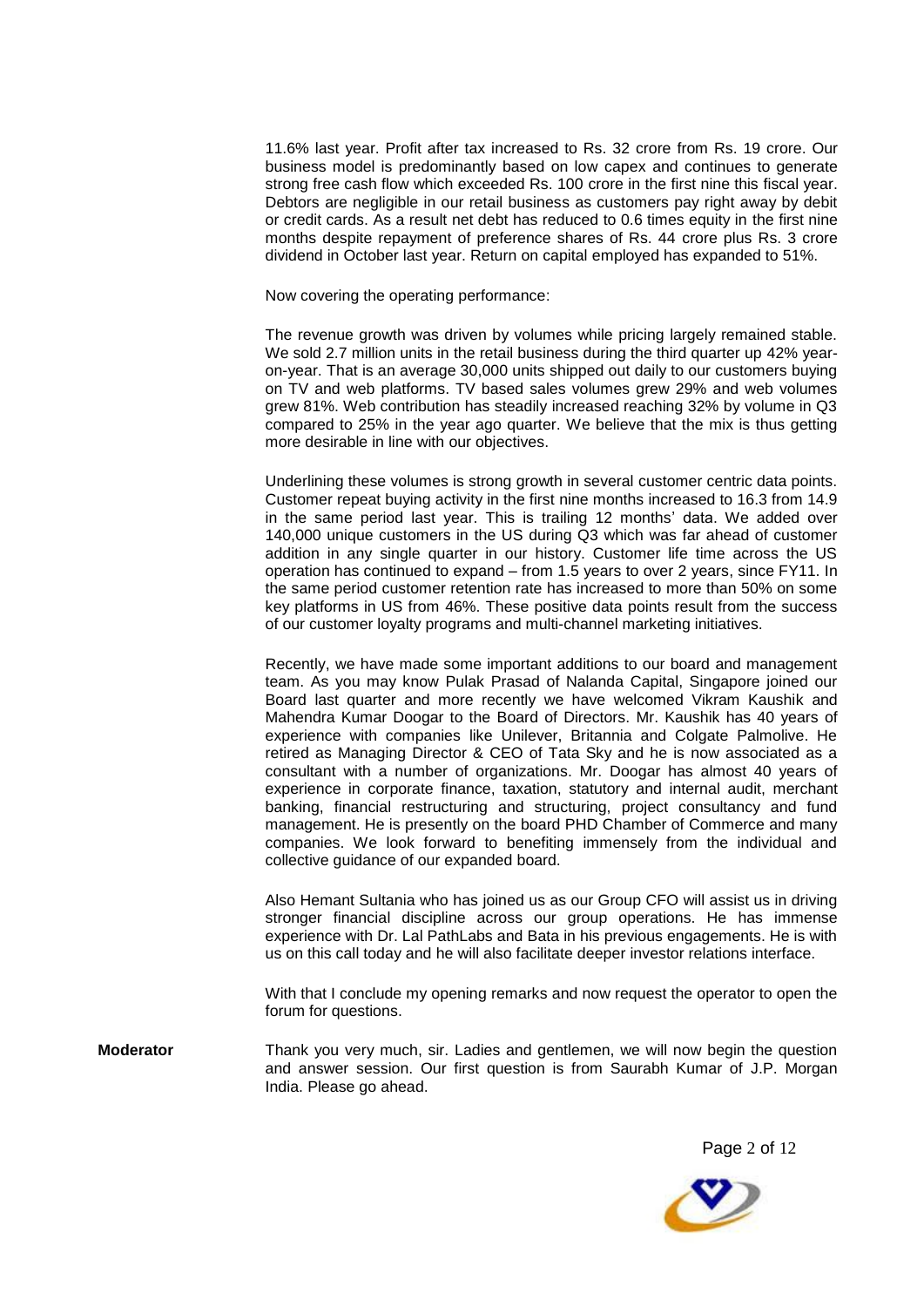11.6% last year. Profit after tax increased to Rs. 32 crore from Rs. 19 crore. Our business model is predominantly based on low capex and continues to generate strong free cash flow which exceeded Rs. 100 crore in the first nine this fiscal year. Debtors are negligible in our retail business as customers pay right away by debit or credit cards. As a result net debt has reduced to 0.6 times equity in the first nine months despite repayment of preference shares of Rs. 44 crore plus Rs. 3 crore dividend in October last year. Return on capital employed has expanded to 51%.

Now covering the operating performance:

The revenue growth was driven by volumes while pricing largely remained stable. We sold 2.7 million units in the retail business during the third quarter up 42% yearon-year. That is an average 30,000 units shipped out daily to our customers buying on TV and web platforms. TV based sales volumes grew 29% and web volumes grew 81%. Web contribution has steadily increased reaching 32% by volume in Q3 compared to 25% in the year ago quarter. We believe that the mix is thus getting more desirable in line with our objectives.

Underlining these volumes is strong growth in several customer centric data points. Customer repeat buying activity in the first nine months increased to 16.3 from 14.9 in the same period last year. This is trailing 12 months' data. We added over 140,000 unique customers in the US during Q3 which was far ahead of customer addition in any single quarter in our history. Customer life time across the US operation has continued to expand – from 1.5 years to over 2 years, since FY11. In the same period customer retention rate has increased to more than 50% on some key platforms in US from 46%. These positive data points result from the success of our customer loyalty programs and multi-channel marketing initiatives.

Recently, we have made some important additions to our board and management team. As you may know Pulak Prasad of Nalanda Capital, Singapore joined our Board last quarter and more recently we have welcomed Vikram Kaushik and Mahendra Kumar Doogar to the Board of Directors. Mr. Kaushik has 40 years of experience with companies like Unilever, Britannia and Colgate Palmolive. He retired as Managing Director & CEO of Tata Sky and he is now associated as a consultant with a number of organizations. Mr. Doogar has almost 40 years of experience in corporate finance, taxation, statutory and internal audit, merchant banking, financial restructuring and structuring, project consultancy and fund management. He is presently on the board PHD Chamber of Commerce and many companies. We look forward to benefiting immensely from the individual and collective guidance of our expanded board.

Also Hemant Sultania who has joined us as our Group CFO will assist us in driving stronger financial discipline across our group operations. He has immense experience with Dr. Lal PathLabs and Bata in his previous engagements. He is with us on this call today and he will also facilitate deeper investor relations interface.

With that I conclude my opening remarks and now request the operator to open the forum for questions.

**Moderator** Thank you very much, sir. Ladies and gentlemen, we will now begin the question and answer session. Our first question is from Saurabh Kumar of J.P. Morgan India. Please go ahead.

Page 2 of 12

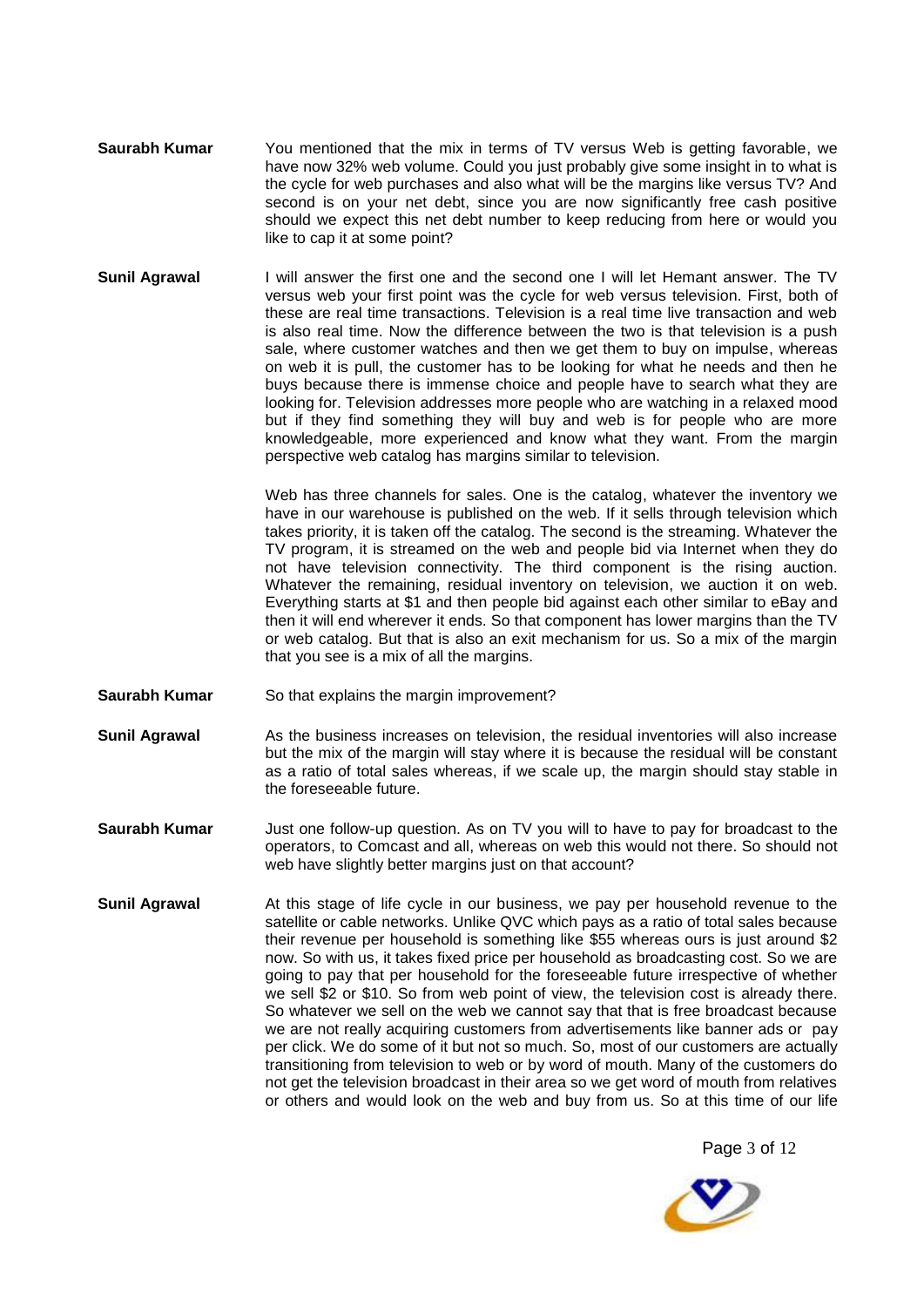- **Saurabh Kumar** You mentioned that the mix in terms of TV versus Web is getting favorable, we have now 32% web volume. Could you just probably give some insight in to what is the cycle for web purchases and also what will be the margins like versus TV? And second is on your net debt, since you are now significantly free cash positive should we expect this net debt number to keep reducing from here or would you like to cap it at some point?
- **Sunil Agrawal** I will answer the first one and the second one I will let Hemant answer. The TV versus web your first point was the cycle for web versus television. First, both of these are real time transactions. Television is a real time live transaction and web is also real time. Now the difference between the two is that television is a push sale, where customer watches and then we get them to buy on impulse, whereas on web it is pull, the customer has to be looking for what he needs and then he buys because there is immense choice and people have to search what they are looking for. Television addresses more people who are watching in a relaxed mood but if they find something they will buy and web is for people who are more knowledgeable, more experienced and know what they want. From the margin perspective web catalog has margins similar to television.

Web has three channels for sales. One is the catalog, whatever the inventory we have in our warehouse is published on the web. If it sells through television which takes priority, it is taken off the catalog. The second is the streaming. Whatever the TV program, it is streamed on the web and people bid via Internet when they do not have television connectivity. The third component is the rising auction. Whatever the remaining, residual inventory on television, we auction it on web. Everything starts at \$1 and then people bid against each other similar to eBay and then it will end wherever it ends. So that component has lower margins than the TV or web catalog. But that is also an exit mechanism for us. So a mix of the margin that you see is a mix of all the margins.

- **Saurabh Kumar** So that explains the margin improvement?
- **Sunil Agrawal** As the business increases on television, the residual inventories will also increase but the mix of the margin will stay where it is because the residual will be constant as a ratio of total sales whereas, if we scale up, the margin should stay stable in the foreseeable future.
- **Saurabh Kumar** Just one follow-up question. As on TV you will to have to pay for broadcast to the operators, to Comcast and all, whereas on web this would not there. So should not web have slightly better margins just on that account?
- **Sunil Agrawal** At this stage of life cycle in our business, we pay per household revenue to the satellite or cable networks. Unlike QVC which pays as a ratio of total sales because their revenue per household is something like \$55 whereas ours is just around \$2 now. So with us, it takes fixed price per household as broadcasting cost. So we are going to pay that per household for the foreseeable future irrespective of whether we sell \$2 or \$10. So from web point of view, the television cost is already there. So whatever we sell on the web we cannot say that that is free broadcast because we are not really acquiring customers from advertisements like banner ads or pay per click. We do some of it but not so much. So, most of our customers are actually transitioning from television to web or by word of mouth. Many of the customers do not get the television broadcast in their area so we get word of mouth from relatives or others and would look on the web and buy from us. So at this time of our life

Page 3 of 12

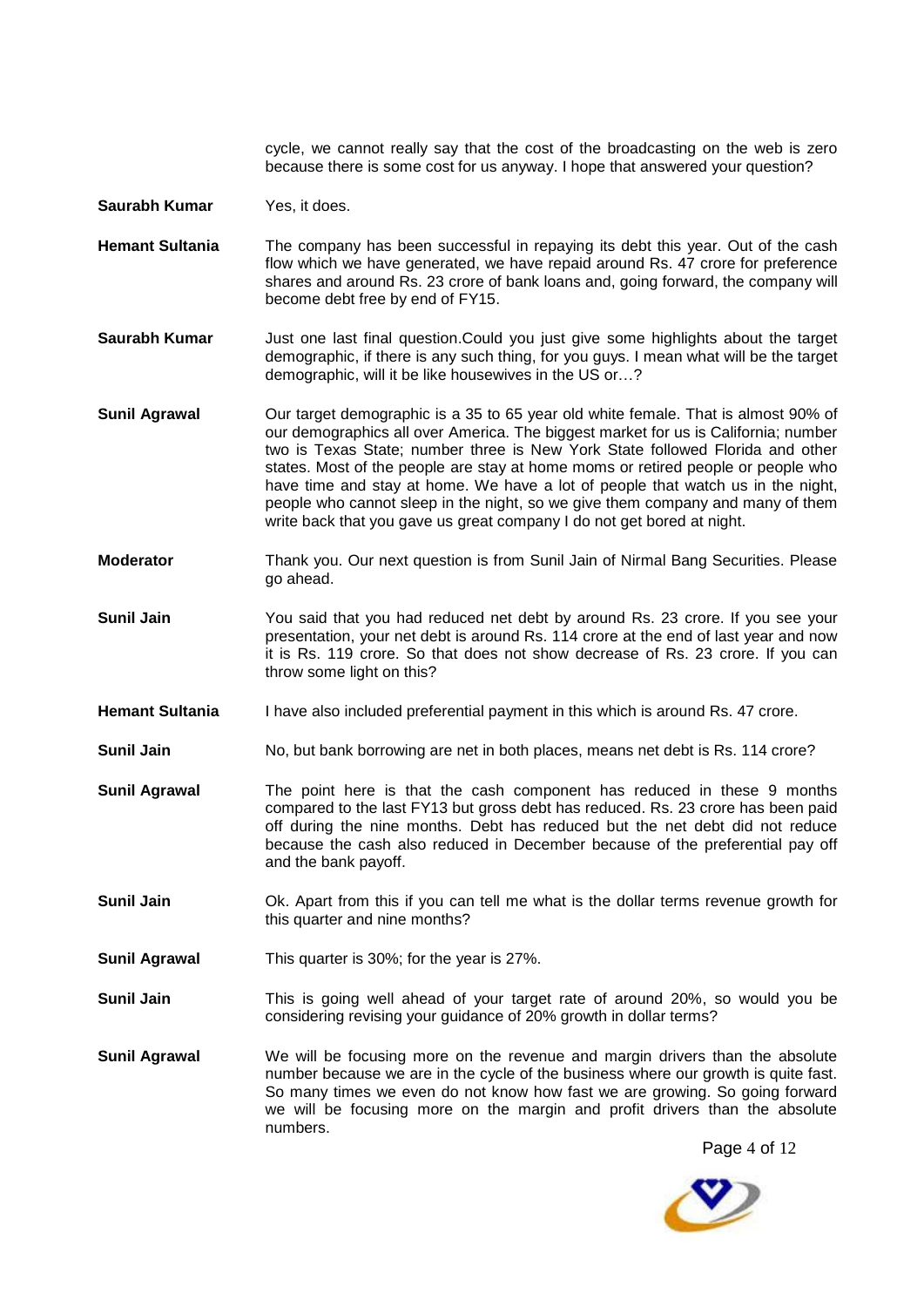cycle, we cannot really say that the cost of the broadcasting on the web is zero because there is some cost for us anyway. I hope that answered your question?

**Saurabh Kumar** Yes, it does.

- **Hemant Sultania** The company has been successful in repaying its debt this year. Out of the cash flow which we have generated, we have repaid around Rs. 47 crore for preference shares and around Rs. 23 crore of bank loans and, going forward, the company will become debt free by end of FY15.
- **Saurabh Kumar** Just one last final question.Could you just give some highlights about the target demographic, if there is any such thing, for you guys. I mean what will be the target demographic, will it be like housewives in the US or…?
- **Sunil Agrawal** Our target demographic is a 35 to 65 year old white female. That is almost 90% of our demographics all over America. The biggest market for us is California; number two is Texas State; number three is New York State followed Florida and other states. Most of the people are stay at home moms or retired people or people who have time and stay at home. We have a lot of people that watch us in the night, people who cannot sleep in the night, so we give them company and many of them write back that you gave us great company I do not get bored at night.
- **Moderator** Thank you. Our next question is from Sunil Jain of Nirmal Bang Securities. Please go ahead.
- **Sunil Jain** You said that you had reduced net debt by around Rs. 23 crore. If you see your presentation, your net debt is around Rs. 114 crore at the end of last year and now it is Rs. 119 crore. So that does not show decrease of Rs. 23 crore. If you can throw some light on this?
- Hemant Sultania **I have also included preferential payment in this which is around Rs. 47 crore.**

**Sunil Jain** No, but bank borrowing are net in both places, means net debt is Rs. 114 crore?

- **Sunil Agrawal** The point here is that the cash component has reduced in these 9 months compared to the last FY13 but gross debt has reduced. Rs. 23 crore has been paid off during the nine months. Debt has reduced but the net debt did not reduce because the cash also reduced in December because of the preferential pay off and the bank payoff.
- **Sunil Jain Ok.** Apart from this if you can tell me what is the dollar terms revenue growth for this quarter and nine months?
- **Sunil Agrawal** This quarter is 30%; for the year is 27%.
- **Sunil Jain** This is going well ahead of your target rate of around 20%, so would you be considering revising your guidance of 20% growth in dollar terms?
- **Sunil Agrawal** We will be focusing more on the revenue and margin drivers than the absolute number because we are in the cycle of the business where our growth is quite fast. So many times we even do not know how fast we are growing. So going forward we will be focusing more on the margin and profit drivers than the absolute numbers.

Page 4 of 12

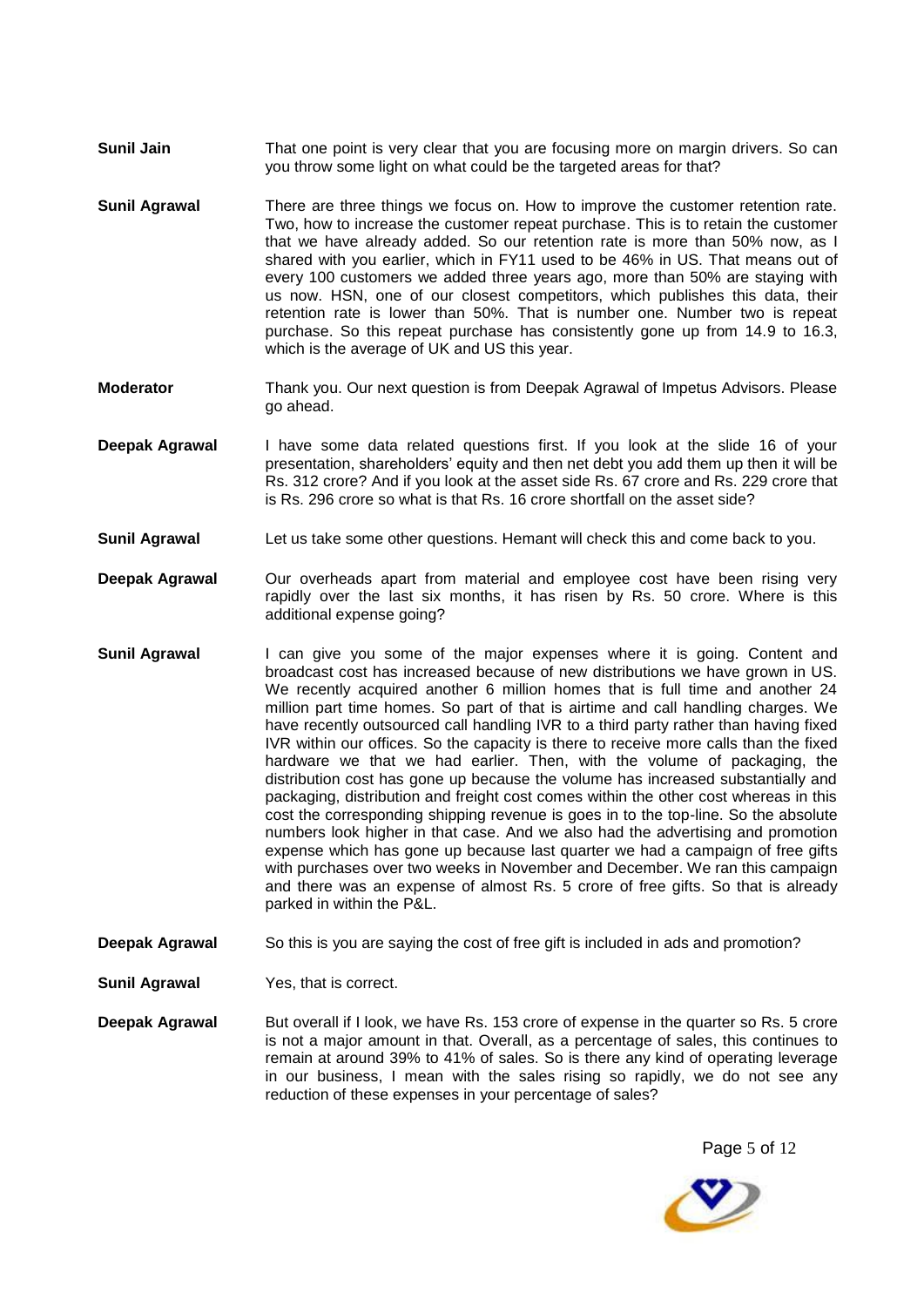- **Sunil Jain** That one point is very clear that you are focusing more on margin drivers. So can you throw some light on what could be the targeted areas for that?
- **Sunil Agrawal** There are three things we focus on. How to improve the customer retention rate. Two, how to increase the customer repeat purchase. This is to retain the customer that we have already added. So our retention rate is more than 50% now, as I shared with you earlier, which in FY11 used to be 46% in US. That means out of every 100 customers we added three years ago, more than 50% are staying with us now. HSN, one of our closest competitors, which publishes this data, their retention rate is lower than 50%. That is number one. Number two is repeat purchase. So this repeat purchase has consistently gone up from 14.9 to 16.3, which is the average of UK and US this year.
- **Moderator** Thank you. Our next question is from Deepak Agrawal of Impetus Advisors. Please go ahead.
- **Deepak Agrawal** I have some data related questions first. If you look at the slide 16 of your presentation, shareholders' equity and then net debt you add them up then it will be Rs. 312 crore? And if you look at the asset side Rs. 67 crore and Rs. 229 crore that is Rs. 296 crore so what is that Rs. 16 crore shortfall on the asset side?
- **Sunil Agrawal** Let us take some other questions. Hemant will check this and come back to you.
- **Deepak Agrawal** Our overheads apart from material and employee cost have been rising very rapidly over the last six months, it has risen by Rs. 50 crore. Where is this additional expense going?
- **Sunil Agrawal** I can give you some of the major expenses where it is going. Content and broadcast cost has increased because of new distributions we have grown in US. We recently acquired another 6 million homes that is full time and another 24 million part time homes. So part of that is airtime and call handling charges. We have recently outsourced call handling IVR to a third party rather than having fixed IVR within our offices. So the capacity is there to receive more calls than the fixed hardware we that we had earlier. Then, with the volume of packaging, the distribution cost has gone up because the volume has increased substantially and packaging, distribution and freight cost comes within the other cost whereas in this cost the corresponding shipping revenue is goes in to the top-line. So the absolute numbers look higher in that case. And we also had the advertising and promotion expense which has gone up because last quarter we had a campaign of free gifts with purchases over two weeks in November and December. We ran this campaign and there was an expense of almost Rs. 5 crore of free gifts. So that is already parked in within the P&L.
- **Deepak Agrawal** So this is you are saying the cost of free gift is included in ads and promotion?
- **Sunil Agrawal** Yes, that is correct.
- **Deepak Agrawal** But overall if I look, we have Rs. 153 crore of expense in the quarter so Rs. 5 crore is not a major amount in that. Overall, as a percentage of sales, this continues to remain at around 39% to 41% of sales. So is there any kind of operating leverage in our business, I mean with the sales rising so rapidly, we do not see any reduction of these expenses in your percentage of sales?

Page 5 of 12

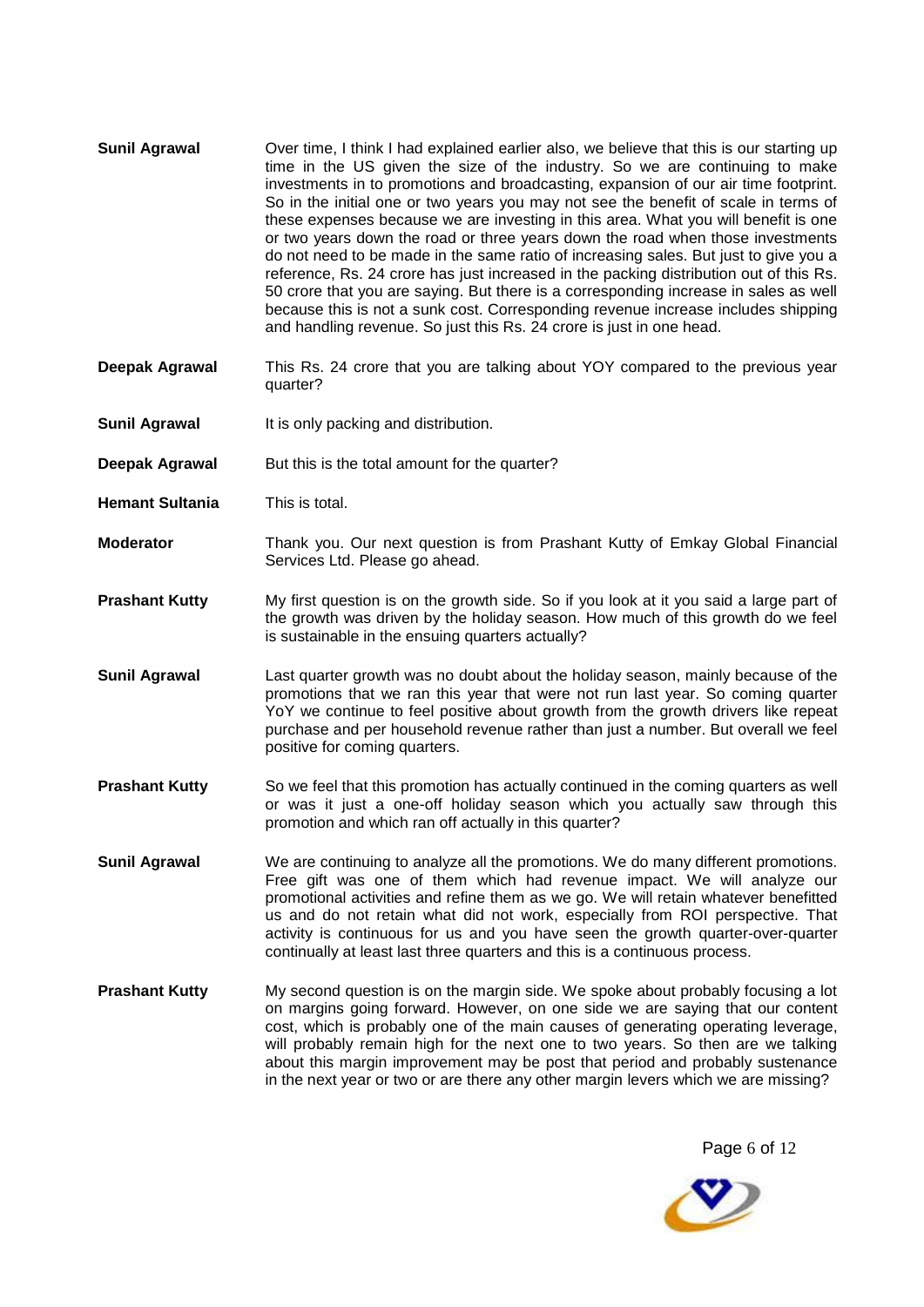- **Sunil Agrawal** Over time, I think I had explained earlier also, we believe that this is our starting up time in the US given the size of the industry. So we are continuing to make investments in to promotions and broadcasting, expansion of our air time footprint. So in the initial one or two years you may not see the benefit of scale in terms of these expenses because we are investing in this area. What you will benefit is one or two years down the road or three years down the road when those investments do not need to be made in the same ratio of increasing sales. But just to give you a reference, Rs. 24 crore has just increased in the packing distribution out of this Rs. 50 crore that you are saying. But there is a corresponding increase in sales as well because this is not a sunk cost. Corresponding revenue increase includes shipping and handling revenue. So just this Rs. 24 crore is just in one head.
- **Deepak Agrawal** This Rs. 24 crore that you are talking about YOY compared to the previous year quarter?
- **Sunil Agrawal** It is only packing and distribution.
- **Deepak Agrawal** But this is the total amount for the quarter?
- **Hemant Sultania** This is total.
- **Moderator** Thank you. Our next question is from Prashant Kutty of Emkay Global Financial Services Ltd. Please go ahead.
- **Prashant Kutty** My first question is on the growth side. So if you look at it you said a large part of the growth was driven by the holiday season. How much of this growth do we feel is sustainable in the ensuing quarters actually?
- **Sunil Agrawal** Last quarter growth was no doubt about the holiday season, mainly because of the promotions that we ran this year that were not run last year. So coming quarter YoY we continue to feel positive about growth from the growth drivers like repeat purchase and per household revenue rather than just a number. But overall we feel positive for coming quarters.
- **Prashant Kutty** So we feel that this promotion has actually continued in the coming quarters as well or was it just a one-off holiday season which you actually saw through this promotion and which ran off actually in this quarter?
- **Sunil Agrawal** We are continuing to analyze all the promotions. We do many different promotions. Free gift was one of them which had revenue impact. We will analyze our promotional activities and refine them as we go. We will retain whatever benefitted us and do not retain what did not work, especially from ROI perspective. That activity is continuous for us and you have seen the growth quarter-over-quarter continually at least last three quarters and this is a continuous process.
- **Prashant Kutty** My second question is on the margin side. We spoke about probably focusing a lot on margins going forward. However, on one side we are saying that our content cost, which is probably one of the main causes of generating operating leverage, will probably remain high for the next one to two years. So then are we talking about this margin improvement may be post that period and probably sustenance in the next year or two or are there any other margin levers which we are missing?

Page 6 of 12

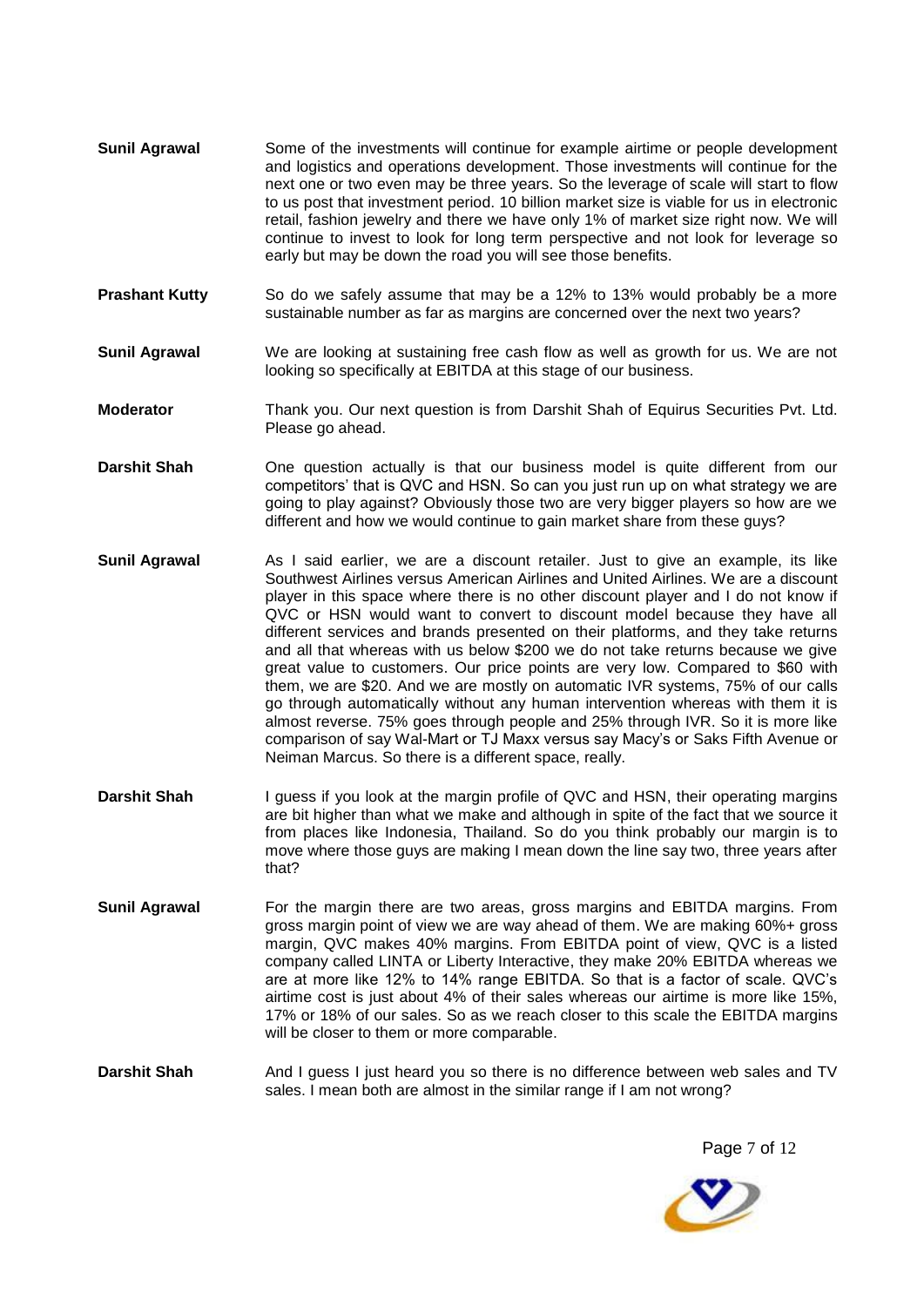- **Sunil Agrawal** Some of the investments will continue for example airtime or people development and logistics and operations development. Those investments will continue for the next one or two even may be three years. So the leverage of scale will start to flow to us post that investment period. 10 billion market size is viable for us in electronic retail, fashion jewelry and there we have only 1% of market size right now. We will continue to invest to look for long term perspective and not look for leverage so early but may be down the road you will see those benefits.
- **Prashant Kutty** So do we safely assume that may be a 12% to 13% would probably be a more sustainable number as far as margins are concerned over the next two years?
- **Sunil Agrawal** We are looking at sustaining free cash flow as well as growth for us. We are not looking so specifically at EBITDA at this stage of our business.
- **Moderator** Thank you. Our next question is from Darshit Shah of Equirus Securities Pvt. Ltd. Please go ahead.
- **Darshit Shah** One question actually is that our business model is quite different from our competitors' that is QVC and HSN. So can you just run up on what strategy we are going to play against? Obviously those two are very bigger players so how are we different and how we would continue to gain market share from these guys?
- **Sunil Agrawal** As I said earlier, we are a discount retailer. Just to give an example, its like Southwest Airlines versus American Airlines and United Airlines. We are a discount player in this space where there is no other discount player and I do not know if QVC or HSN would want to convert to discount model because they have all different services and brands presented on their platforms, and they take returns and all that whereas with us below \$200 we do not take returns because we give great value to customers. Our price points are very low. Compared to \$60 with them, we are \$20. And we are mostly on automatic IVR systems, 75% of our calls go through automatically without any human intervention whereas with them it is almost reverse. 75% goes through people and 25% through IVR. So it is more like comparison of say Wal-Mart or TJ Maxx versus say Macy's or Saks Fifth Avenue or Neiman Marcus. So there is a different space, really.
- **Darshit Shah** I guess if you look at the margin profile of QVC and HSN, their operating margins are bit higher than what we make and although in spite of the fact that we source it from places like Indonesia, Thailand. So do you think probably our margin is to move where those guys are making I mean down the line say two, three years after that?
- **Sunil Agrawal** For the margin there are two areas, gross margins and EBITDA margins. From gross margin point of view we are way ahead of them. We are making 60%+ gross margin, QVC makes 40% margins. From EBITDA point of view, QVC is a listed company called LINTA or Liberty Interactive, they make 20% EBITDA whereas we are at more like 12% to 14% range EBITDA. So that is a factor of scale. QVC's airtime cost is just about 4% of their sales whereas our airtime is more like 15%, 17% or 18% of our sales. So as we reach closer to this scale the EBITDA margins will be closer to them or more comparable.
- **Darshit Shah** And I guess I just heard you so there is no difference between web sales and TV sales. I mean both are almost in the similar range if I am not wrong?

Page 7 of 12

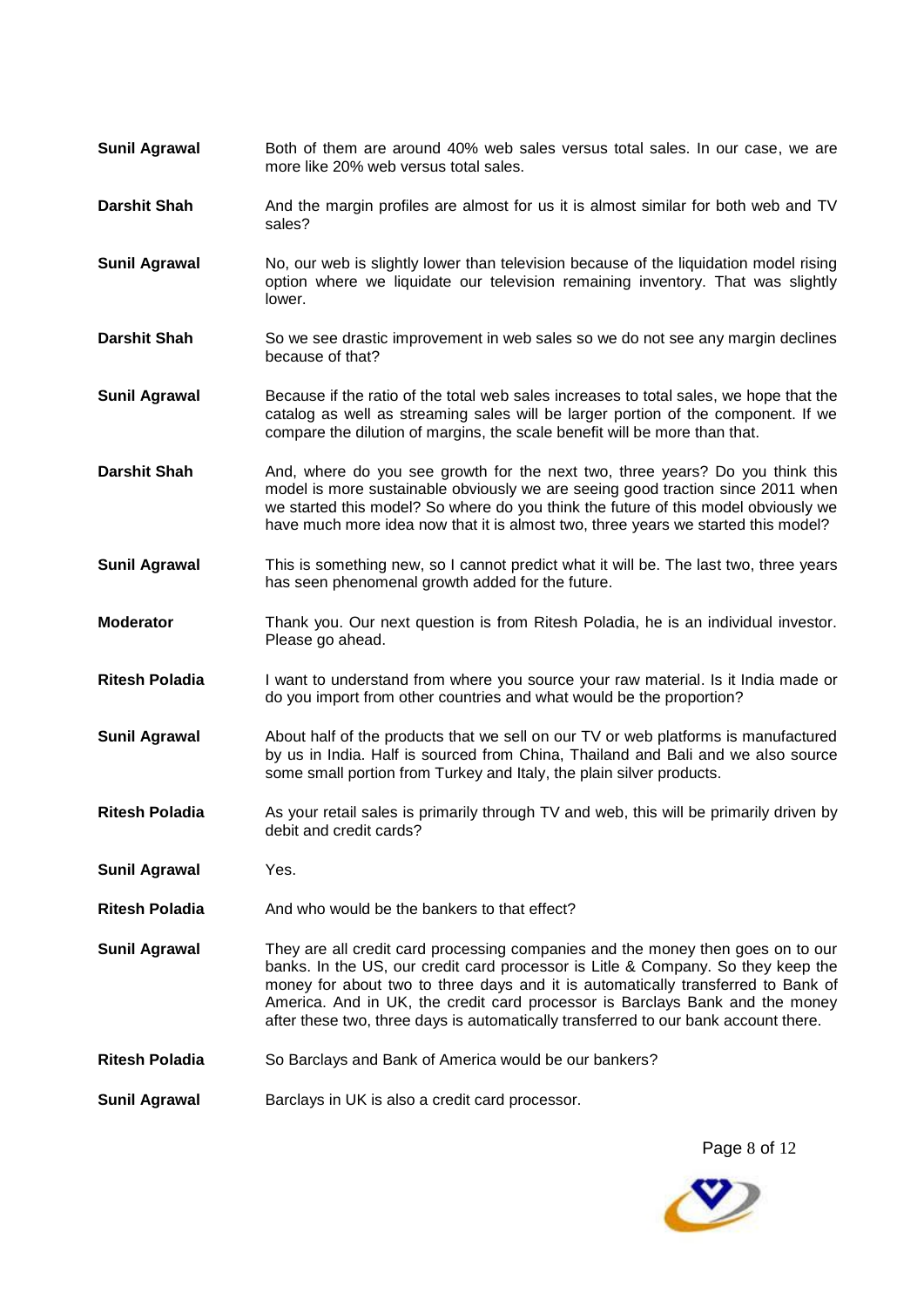- **Sunil Agrawal** Both of them are around 40% web sales versus total sales. In our case, we are more like 20% web versus total sales.
- **Darshit Shah** And the margin profiles are almost for us it is almost similar for both web and TV sales?
- **Sunil Agrawal** No, our web is slightly lower than television because of the liquidation model rising option where we liquidate our television remaining inventory. That was slightly lower.
- **Darshit Shah** So we see drastic improvement in web sales so we do not see any margin declines because of that?
- **Sunil Agrawal** Because if the ratio of the total web sales increases to total sales, we hope that the catalog as well as streaming sales will be larger portion of the component. If we compare the dilution of margins, the scale benefit will be more than that.
- Darshit Shah And, where do you see growth for the next two, three years? Do you think this model is more sustainable obviously we are seeing good traction since 2011 when we started this model? So where do you think the future of this model obviously we have much more idea now that it is almost two, three years we started this model?
- **Sunil Agrawal** This is something new, so I cannot predict what it will be. The last two, three years has seen phenomenal growth added for the future.
- **Moderator** Thank you. Our next question is from Ritesh Poladia, he is an individual investor. Please go ahead.
- **Ritesh Poladia** I want to understand from where you source your raw material. Is it India made or do you import from other countries and what would be the proportion?
- **Sunil Agrawal** About half of the products that we sell on our TV or web platforms is manufactured by us in India. Half is sourced from China, Thailand and Bali and we also source some small portion from Turkey and Italy, the plain silver products.
- **Ritesh Poladia** As your retail sales is primarily through TV and web, this will be primarily driven by debit and credit cards?
- **Sunil Agrawal** Yes.
- **Ritesh Poladia** And who would be the bankers to that effect?
- **Sunil Agrawal** They are all credit card processing companies and the money then goes on to our banks. In the US, our credit card processor is Litle & Company. So they keep the money for about two to three days and it is automatically transferred to Bank of America. And in UK, the credit card processor is Barclays Bank and the money after these two, three days is automatically transferred to our bank account there.
- Ritesh Poladia **So Barclays and Bank of America would be our bankers?**
- **Sunil Agrawal Barclays in UK is also a credit card processor.**

Page 8 of 12

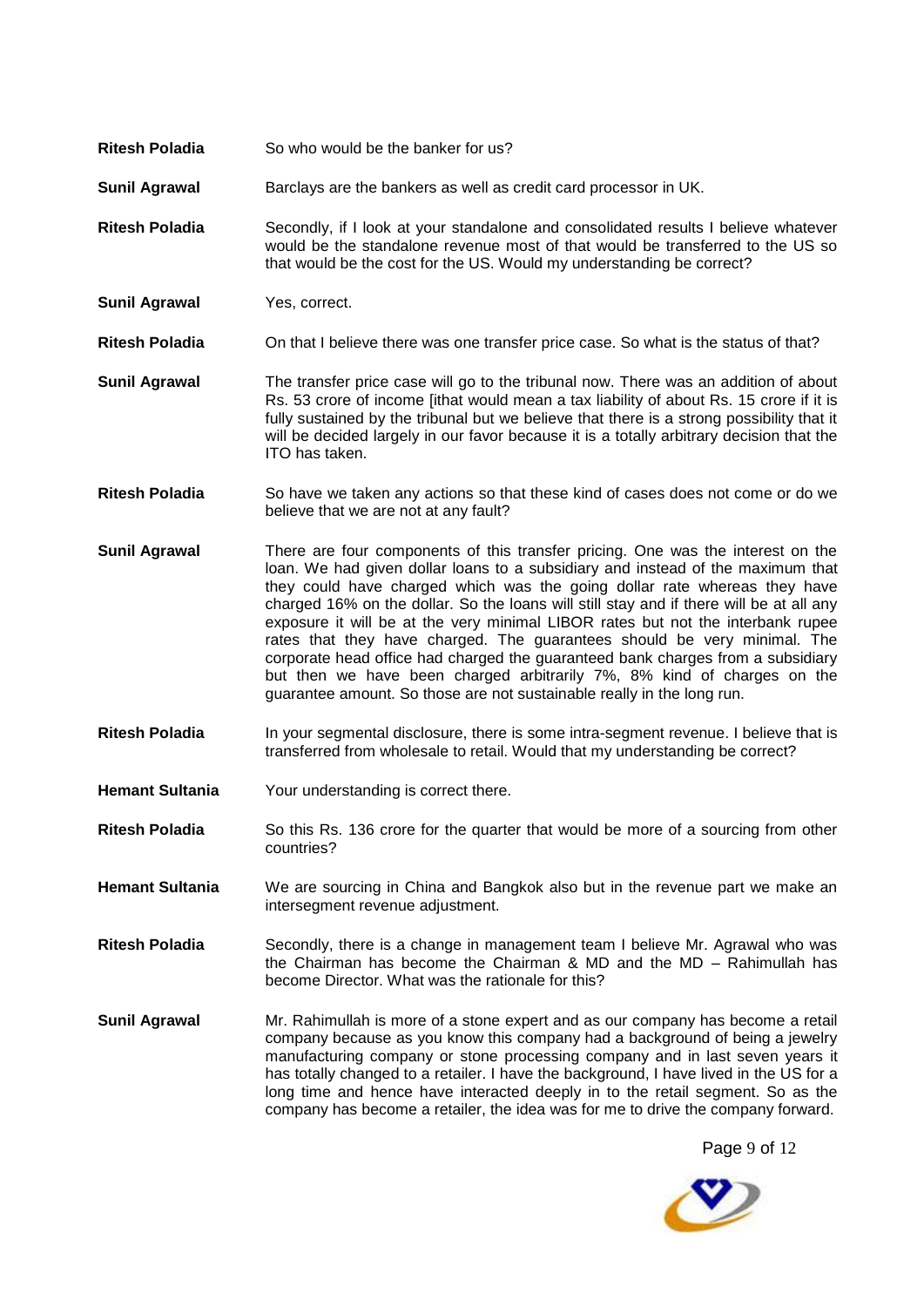- **Ritesh Poladia** So who would be the banker for us?
- **Sunil Agrawal** Barclays are the bankers as well as credit card processor in UK.
- **Ritesh Poladia** Secondly, if I look at your standalone and consolidated results I believe whatever would be the standalone revenue most of that would be transferred to the US so that would be the cost for the US. Would my understanding be correct?
- **Sunil Agrawal** Yes, correct.

**Ritesh Poladia** On that I believe there was one transfer price case. So what is the status of that?

- **Sunil Agrawal** The transfer price case will go to the tribunal now. There was an addition of about Rs. 53 crore of income [ithat would mean a tax liability of about Rs. 15 crore if it is fully sustained by the tribunal but we believe that there is a strong possibility that it will be decided largely in our favor because it is a totally arbitrary decision that the ITO has taken.
- **Ritesh Poladia** So have we taken any actions so that these kind of cases does not come or do we believe that we are not at any fault?
- **Sunil Agrawal** There are four components of this transfer pricing. One was the interest on the loan. We had given dollar loans to a subsidiary and instead of the maximum that they could have charged which was the going dollar rate whereas they have charged 16% on the dollar. So the loans will still stay and if there will be at all any exposure it will be at the very minimal LIBOR rates but not the interbank rupee rates that they have charged. The guarantees should be very minimal. The corporate head office had charged the guaranteed bank charges from a subsidiary but then we have been charged arbitrarily 7%, 8% kind of charges on the guarantee amount. So those are not sustainable really in the long run.
- **Ritesh Poladia** In your segmental disclosure, there is some intra-segment revenue. I believe that is transferred from wholesale to retail. Would that my understanding be correct?
- **Hemant Sultania** Your understanding is correct there.
- **Ritesh Poladia** So this Rs. 136 crore for the quarter that would be more of a sourcing from other countries?
- **Hemant Sultania** We are sourcing in China and Bangkok also but in the revenue part we make an intersegment revenue adjustment.
- **Ritesh Poladia** Secondly, there is a change in management team I believe Mr. Agrawal who was the Chairman has become the Chairman & MD and the MD – Rahimullah has become Director. What was the rationale for this?
- **Sunil Agrawal** Mr. Rahimullah is more of a stone expert and as our company has become a retail company because as you know this company had a background of being a jewelry manufacturing company or stone processing company and in last seven years it has totally changed to a retailer. I have the background, I have lived in the US for a long time and hence have interacted deeply in to the retail segment. So as the company has become a retailer, the idea was for me to drive the company forward.

Page 9 of 12

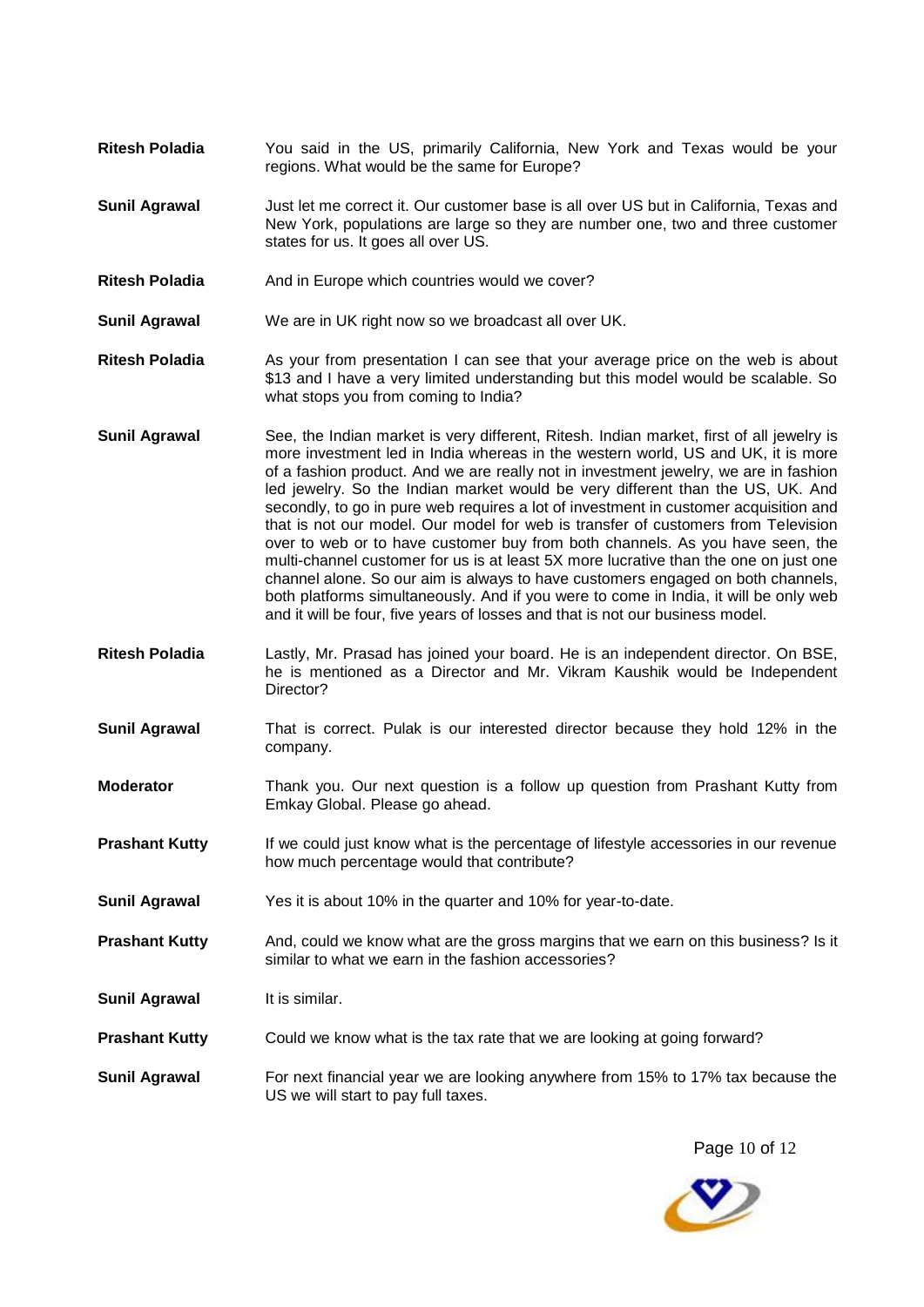- **Ritesh Poladia** You said in the US, primarily California, New York and Texas would be your regions. What would be the same for Europe?
- **Sunil Agrawal** Just let me correct it. Our customer base is all over US but in California, Texas and New York, populations are large so they are number one, two and three customer states for us. It goes all over US.
- **Ritesh Poladia** And in Europe which countries would we cover?

**Sunil Agrawal** We are in UK right now so we broadcast all over UK.

- **Ritesh Poladia** As your from presentation I can see that your average price on the web is about \$13 and I have a very limited understanding but this model would be scalable. So what stops you from coming to India?
- **Sunil Agrawal** See, the Indian market is very different, Ritesh. Indian market, first of all jewelry is more investment led in India whereas in the western world, US and UK, it is more of a fashion product. And we are really not in investment jewelry, we are in fashion led jewelry. So the Indian market would be very different than the US, UK. And secondly, to go in pure web requires a lot of investment in customer acquisition and that is not our model. Our model for web is transfer of customers from Television over to web or to have customer buy from both channels. As you have seen, the multi-channel customer for us is at least 5X more lucrative than the one on just one channel alone. So our aim is always to have customers engaged on both channels, both platforms simultaneously. And if you were to come in India, it will be only web and it will be four, five years of losses and that is not our business model.
- **Ritesh Poladia** Lastly, Mr. Prasad has joined your board. He is an independent director. On BSE, he is mentioned as a Director and Mr. Vikram Kaushik would be Independent Director?
- **Sunil Agrawal** That is correct. Pulak is our interested director because they hold 12% in the company.
- **Moderator** Thank you. Our next question is a follow up question from Prashant Kutty from Emkay Global. Please go ahead.
- **Prashant Kutty** If we could just know what is the percentage of lifestyle accessories in our revenue how much percentage would that contribute?
- **Sunil Agrawal** Yes it is about 10% in the quarter and 10% for year-to-date.
- **Prashant Kutty** And, could we know what are the gross margins that we earn on this business? Is it similar to what we earn in the fashion accessories?
- **Sunil Agrawal** It is similar.
- **Prashant Kutty** Could we know what is the tax rate that we are looking at going forward?
- **Sunil Agrawal** For next financial year we are looking anywhere from 15% to 17% tax because the US we will start to pay full taxes.

Page 10 of 12

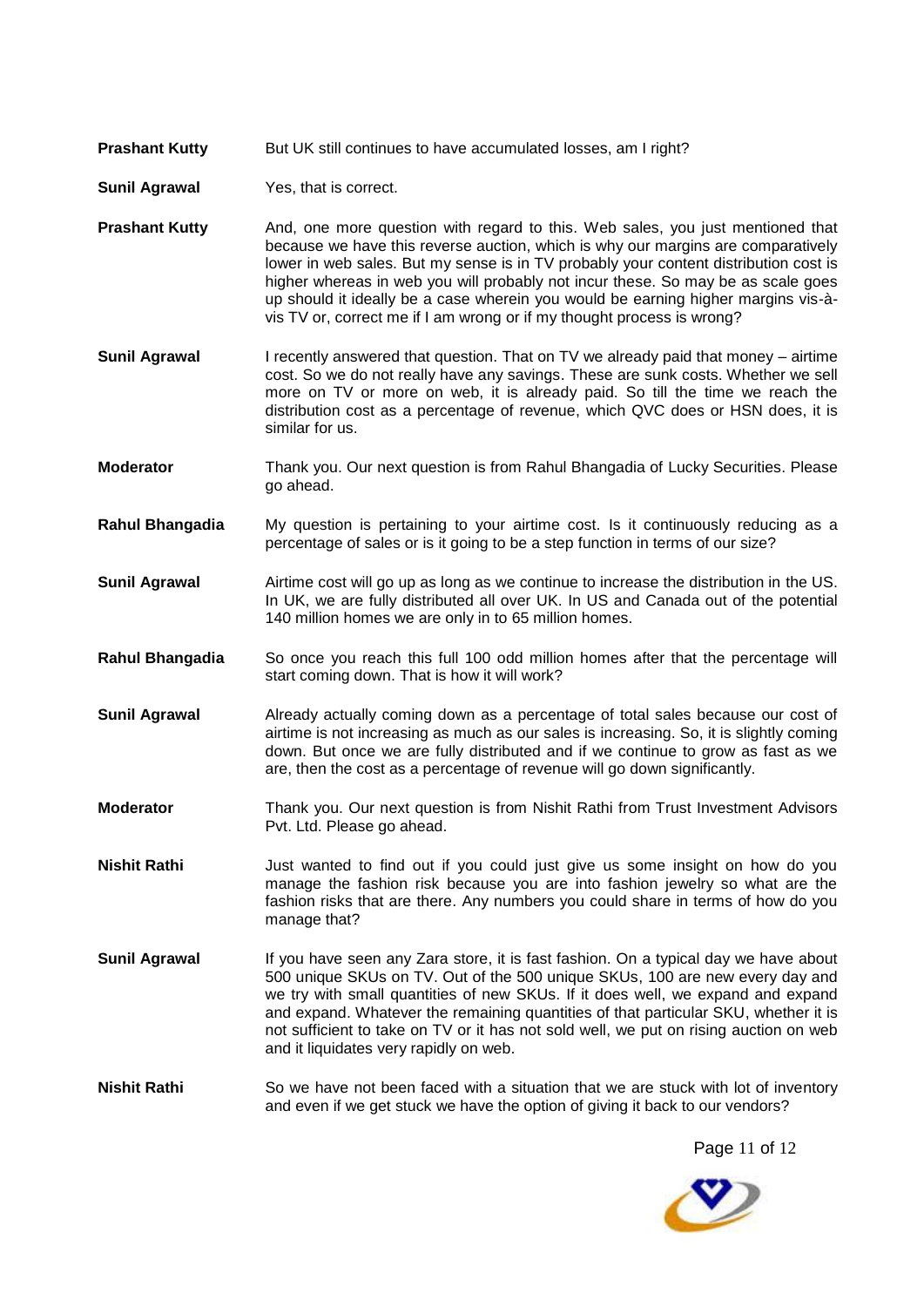- **Prashant Kutty** But UK still continues to have accumulated losses, am I right?
- **Sunil Agrawal** Yes, that is correct.
- **Prashant Kutty** And, one more question with regard to this. Web sales, you just mentioned that because we have this reverse auction, which is why our margins are comparatively lower in web sales. But my sense is in TV probably your content distribution cost is higher whereas in web you will probably not incur these. So may be as scale goes up should it ideally be a case wherein you would be earning higher margins vis-àvis TV or, correct me if I am wrong or if my thought process is wrong?
- **Sunil Agrawal** I recently answered that question. That on TV we already paid that money airtime cost. So we do not really have any savings. These are sunk costs. Whether we sell more on TV or more on web, it is already paid. So till the time we reach the distribution cost as a percentage of revenue, which QVC does or HSN does, it is similar for us.
- **Moderator** Thank you. Our next question is from Rahul Bhangadia of Lucky Securities. Please go ahead.
- **Rahul Bhangadia** My question is pertaining to your airtime cost. Is it continuously reducing as a percentage of sales or is it going to be a step function in terms of our size?
- **Sunil Agrawal** Airtime cost will go up as long as we continue to increase the distribution in the US. In UK, we are fully distributed all over UK. In US and Canada out of the potential 140 million homes we are only in to 65 million homes.
- **Rahul Bhangadia** So once you reach this full 100 odd million homes after that the percentage will start coming down. That is how it will work?
- **Sunil Agrawal** Already actually coming down as a percentage of total sales because our cost of airtime is not increasing as much as our sales is increasing. So, it is slightly coming down. But once we are fully distributed and if we continue to grow as fast as we are, then the cost as a percentage of revenue will go down significantly.
- **Moderator** Thank you. Our next question is from Nishit Rathi from Trust Investment Advisors Pvt. Ltd. Please go ahead.
- **Nishit Rathi** Just wanted to find out if you could just give us some insight on how do you manage the fashion risk because you are into fashion jewelry so what are the fashion risks that are there. Any numbers you could share in terms of how do you manage that?
- **Sunil Agrawal** If you have seen any Zara store, it is fast fashion. On a typical day we have about 500 unique SKUs on TV. Out of the 500 unique SKUs, 100 are new every day and we try with small quantities of new SKUs. If it does well, we expand and expand and expand. Whatever the remaining quantities of that particular SKU, whether it is not sufficient to take on TV or it has not sold well, we put on rising auction on web and it liquidates very rapidly on web.
- **Nishit Rathi** So we have not been faced with a situation that we are stuck with lot of inventory and even if we get stuck we have the option of giving it back to our vendors?

Page 11 of 12